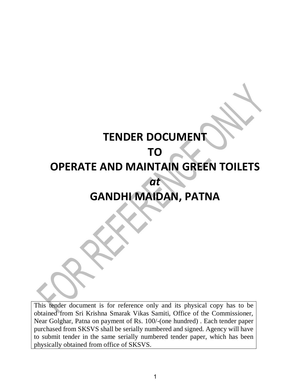# **TENDER DOCUMENT TO OPERATE AND MAINTAIN GREEN TOILETS** *at*  **GANDHI MAIDAN, PATNA**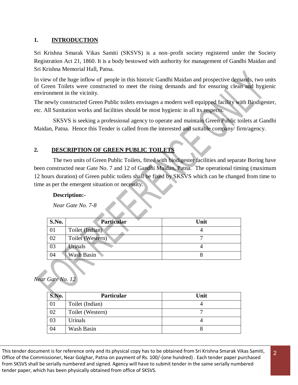### **1. INTRODUCTION**

Sri Krishna Smarak Vikas Samiti (SKSVS) is a non–profit society registered under the Society Registration Act 21, 1860. It is a body bestowed with authority for management of Gandhi Maidan and Sri Krishna Memorial Hall, Patna.

In view of the huge inflow of people in this historic Gandhi Maidan and prospective demands, two units of Green Toilets were constructed to meet the rising demands and for ensuring clean and hygienic environment in the vicinity.

The newly constructed Green Public toilets envisages a modern well equipped facility with Biodigester, etc. All Sanitation works and facilities should be most hygienic in all its respects.

SKSVS is seeking a professional agency to operate and maintain Green Public toilets at Gandhi Maidan, Patna. Hence this Tender is called from the interested and suitable company/ firm/agency.

## **2. DESCRIPTION OF GREEN PUBLIC TOILETS**

The two units of Green Public Toilets, fitted with biodigester facilities and separate Boring have been constructed near Gate No. 7 and 12 of Gandhi Maidan, Patna. The operational timing (maximum 12 hours duration) of Green public toilets shall be fixed by SKSVS which can be changed from time to time as per the emergent situation or necessity.

#### **Description:-**

*Near Gate No. 7-8* 

| S.No. | Particular       | Unit |
|-------|------------------|------|
| 01    | Toilet (Indian)  |      |
| 02    | Toilet (Western) |      |
| 03    | Urinals          |      |
| 04    | Wash Basin       |      |

#### *Near Gate No. 12*

| S.No. | <b>Particular</b> | Unit |
|-------|-------------------|------|
| 01    | Toilet (Indian)   |      |
| 02    | Toilet (Western)  |      |
| 03    | Urinals           |      |
| 04    | Wash Basin        |      |

2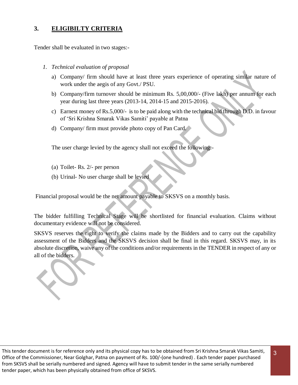## **3. ELIGIBILTY CRITERIA**

Tender shall be evaluated in two stages:-

- *1. Technical evaluation of proposal* 
	- a) Company/ firm should have at least three years experience of operating similar nature of work under the aegis of any Govt./ PSU.
	- b) Company/firm turnover should be minimum Rs. 5,00,000/- (Five lakh) per annum for each year during last three years (2013-14, 2014-15 and 2015-2016).
	- c) Earnest money of Rs.5,000/- is to be paid along with the technical bid through D.D. in favour of 'Sri Krishna Smarak Vikas Samiti' payable at Patna
	- d) Company/ firm must provide photo copy of Pan Card.

The user charge levied by the agency shall not exceed the following:-

- (a) Toilet- Rs. 2/- per person
- (b) Urinal- No user charge shall be levied

Financial proposal would be the net amount payable to SKSVS on a monthly basis.

The bidder fulfilling Technical Stage will be shortlisted for financial evaluation. Claims without documentary evidence will not be considered.

SKSVS reserves the right to verify the claims made by the Bidders and to carry out the capability assessment of the Bidders and the SKSVS decision shall be final in this regard. SKSVS may, in its absolute discretion, waive any of the conditions and/or requirements in the TENDER in respect of any or all of the bidders.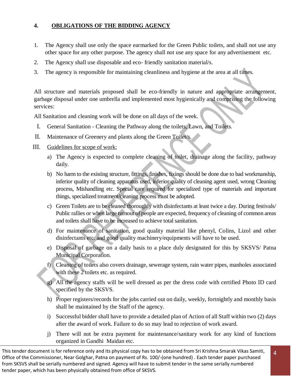## **4. OBLIGATIONS OF THE BIDDING AGENCY**

- 1. The Agency shall use only the space earmarked for the Green Public toilets, and shall not use any other space for any other purpose. The agency shall not use any space for any advertisement etc.
- 2. The Agency shall use disposable and eco- friendly sanitation material/s.
- 3. The agency is responsible for maintaining cleanliness and hygiene at the area at all times.

All structure and materials proposed shall be eco-friendly in nature and appropriate arrangement, garbage disposal under one umbrella and implemented most hygienically and comprising the following services:

All Sanitation and cleaning work will be done on all days of the week.

- I. General Sanitation Cleaning the Pathway along the toilets, Lawn, and Toilets.
- II. Maintenance of Greenery and plants along the Green Toilet/s.

#### III. Guidelines for scope of work:

- a) The Agency is expected to complete cleaning of toilet, drainage along the facility, pathway daily.
- b) No harm to the existing structure, fittings, finishes, fixings should be done due to bad workmanship, inferior quality of cleaning apparatus used, inferior quality of cleaning agent used, wrong Cleaning process, Mishandling etc. Special care required for specialized type of materials and important things, specialized treatment/cleaning process must be adopted.
- c) Green Toilets are to be cleaned thoroughly with disinfectants at least twice a day. During festivals/ Public rallies or when large turnout of people are expected, frequency of cleaning of common areas and toilets shall have to be increased to achieve total sanitation.
- d) For maintenance of sanitation, good quality material like phenyl, Colins, Lizol and other disinfectants etc. and good quality machinery/equipments will have to be used.
- e) Disposal of garbage on a daily basis to a place duly designated for this by SKSVS/ Patna Municipal Corporation.
- f) Cleaning of toilets also covers drainage, sewerage system, rain water pipes, manholes associated with these 2 toilets etc. as required.
- g) All the agency staffs will be well dressed as per the dress code with certified Photo ID card specified by the SKSVS.
- h) Proper registers/records for the jobs carried out on daily, weekly, fortnightly and monthly basis shall be maintained by the Staff of the agency.
- i) Successful bidder shall have to provide a detailed plan of Action of all Staff within two (2) days after the award of work. Failure to do so may lead to rejection of work award.
- j) There will not be extra payment for maintenance/sanitary work for any kind of functions organized in Gandhi Maidan etc.

4

This tender document is for reference only and its physical copy has to be obtained from Sri Krishna Smarak Vikas Samiti, Office of the Commissioner, Near Golghar, Patna on payment of Rs. 100/-(one hundred) . Each tender paper purchased from SKSVS shall be serially numbered and signed. Agency will have to submit tender in the same serially numbered tender paper, which has been physically obtained from office of SKSVS.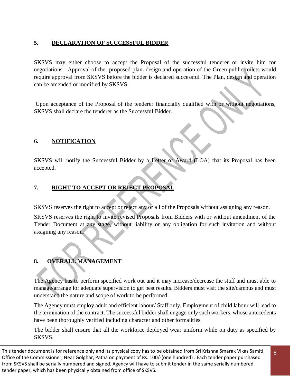## **5. DECLARATION OF SUCCESSFUL BIDDER**

SKSVS may either choose to accept the Proposal of the successful tenderer or invite him for negotiations. Approval of the proposed plan, design and operation of the Green public toilets would require approval from SKSVS before the bidder is declared successful. The Plan, design and operation can be amended or modified by SKSVS.

Upon acceptance of the Proposal of the tenderer financially qualified with or without negotiations, SKSVS shall declare the tenderer as the Successful Bidder.

## **6. NOTIFICATION**

SKSVS will notify the Successful Bidder by a Letter of Award (LOA) that its Proposal has been accepted.

## **7. RIGHT TO ACCEPT OR REJECT PROPOSAL**

SKSVS reserves the right to accept or reject any or all of the Proposals without assigning any reason.

SKSVS reserves the right to invite revised Proposals from Bidders with or without amendment of the Tender Document at any stage, without liability or any obligation for such invitation and without assigning any reason.

## **8. OVERALL MANAGEMENT**

The Agency has to perform specified work out and it may increase/decrease the staff and must able to manage/arrange for adequate supervision to get best results. Bidders must visit the site/campus and must understand the nature and scope of work to be performed.

The Agency must employ adult and efficient labour/ Staff only. Employment of child labour will lead to the termination of the contract. The successful bidder shall engage only such workers, whose antecedents have been thoroughly verified including character and other formalities.

The bidder shall ensure that all the workforce deployed wear uniform while on duty as specified by SKSVS.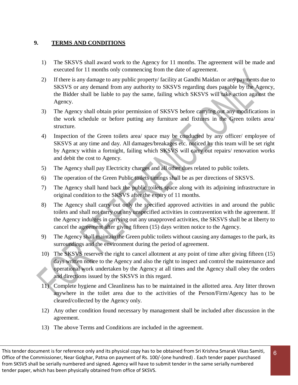## **9. TERMS AND CONDITIONS**

- 1) The SKSVS shall award work to the Agency for 11 months. The agreement will be made and executed for 11 months only commencing from the date of agreement.
- 2) If there is any damage to any public property/ facility at Gandhi Maidan or any payments due to SKSVS or any demand from any authority to SKSVS regarding dues payable by the Agency, the Bidder shall be liable to pay the same, failing which SKSVS will take action against the Agency.
- 3) The Agency shall obtain prior permission of SKSVS before carrying out any modifications in the work schedule or before putting any furniture and fixtures in the Green toilets area/ structure.
- 4) Inspection of the Green toilets area/ space may be conducted by any officer/ employee of SKSVS at any time and day. All damages/breakages etc. noticed by this team will be set right by Agency within a fortnight, failing which SKSVS will carry out repairs/ renovation works and debit the cost to Agency.
- 5) The Agency shall pay Electricity charges and all other dues related to public toilets.
- 6) The operation of the Green Public toilets timings shall be as per directions of SKSVS.
- 7) The Agency shall hand back the public toilets space along with its adjoining infrastructure in original condition to the SKSVS after the expiry of 11 months.
- 8) The Agency shall carry out only the specified approved activities in and around the public toilets and shall not carry out any unspecified activities in contravention with the agreement. If the Agency indulges in carrying out any unapproved activities, the SKSVS shall be at liberty to cancel the agreement after giving fifteen (15) days written notice to the Agency.
- 9) The Agency shall maintain the Green public toilets without causing any damages to the park, its surroundings and the environment during the period of agreement.
- 10) The SKSVS reserves the right to cancel allotment at any point of time after giving fifteen (15) days written notice to the Agency and also the right to inspect and control the maintenance and operational work undertaken by the Agency at all times and the Agency shall obey the orders and directions issued by the SKSVS in this regard.
- 11) Complete hygiene and Cleanliness has to be maintained in the allotted area. Any litter thrown anywhere in the toilet area due to the activities of the Person/Firm/Agency has to be cleared/collected by the Agency only.
- 12) Any other condition found necessary by management shall be included after discussion in the agreement.
- 13) The above Terms and Conditions are included in the agreement.

This tender document is for reference only and its physical copy has to be obtained from Sri Krishna Smarak Vikas Samiti, Office of the Commissioner, Near Golghar, Patna on payment of Rs. 100/-(one hundred) . Each tender paper purchased from SKSVS shall be serially numbered and signed. Agency will have to submit tender in the same serially numbered tender paper, which has been physically obtained from office of SKSVS.